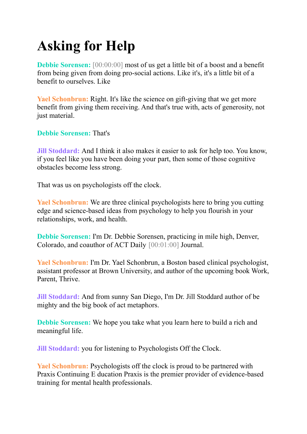# **Asking for Help**

**Debbie Sorensen:** [00:00:00] most of us get a little bit of a boost and a benefit from being given from doing pro-social actions. Like it's, it's a little bit of a benefit to ourselves. Like

**Yael Schonbrun:** Right. It's like the science on gift-giving that we get more benefit from giving them receiving. And that's true with, acts of generosity, not just material.

**Debbie Sorensen:** That's

**Jill Stoddard:** And I think it also makes it easier to ask for help too. You know, if you feel like you have been doing your part, then some of those cognitive obstacles become less strong.

That was us on psychologists off the clock.

**Yael Schonbrun:** We are three clinical psychologists here to bring you cutting edge and science-based ideas from psychology to help you flourish in your relationships, work, and health.

**Debbie Sorensen:** I'm Dr. Debbie Sorensen, practicing in mile high, Denver, Colorado, and coauthor of ACT Daily [00:01:00] Journal.

**Yael Schonbrun:** I'm Dr. Yael Schonbrun, a Boston based clinical psychologist, assistant professor at Brown University, and author of the upcoming book Work, Parent, Thrive.

**Jill Stoddard:** And from sunny San Diego, I'm Dr. Jill Stoddard author of be mighty and the big book of act metaphors.

**Debbie Sorensen:** We hope you take what you learn here to build a rich and meaningful life.

**Jill Stoddard:** you for listening to Psychologists Off the Clock.

**Yael Schonbrun:** Psychologists off the clock is proud to be partnered with Praxis Continuing E ducation Praxis is the premier provider of evidence-based training for mental health professionals.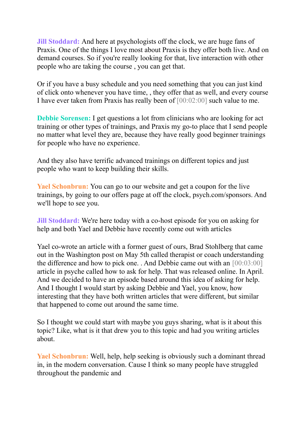**Jill Stoddard:** And here at psychologists off the clock, we are huge fans of Praxis. One of the things I love most about Praxis is they offer both live. And on demand courses. So if you're really looking for that, live interaction with other people who are taking the course , you can get that.

Or if you have a busy schedule and you need something that you can just kind of click onto whenever you have time, , they offer that as well, and every course I have ever taken from Praxis has really been of [00:02:00] such value to me.

**Debbie Sorensen:** I get questions a lot from clinicians who are looking for act training or other types of trainings, and Praxis my go-to place that I send people no matter what level they are, because they have really good beginner trainings for people who have no experience.

And they also have terrific advanced trainings on different topics and just people who want to keep building their skills.

**Yael Schonbrun:** You can go to our website and get a coupon for the live trainings, by going to our offers page at off the clock, psych.com/sponsors. And we'll hope to see you.

**Jill Stoddard:** We're here today with a co-host episode for you on asking for help and both Yael and Debbie have recently come out with articles

Yael co-wrote an article with a former guest of ours, Brad Stohlberg that came out in the Washington post on May 5th called therapist or coach understanding the difference and how to pick one. . And Debbie came out with an [00:03:00] article in psyche called how to ask for help. That was released online. In April. And we decided to have an episode based around this idea of asking for help. And I thought I would start by asking Debbie and Yael, you know, how interesting that they have both written articles that were different, but similar that happened to come out around the same time.

So I thought we could start with maybe you guys sharing, what is it about this topic? Like, what is it that drew you to this topic and had you writing articles about.

**Yael Schonbrun:** Well, help, help seeking is obviously such a dominant thread in, in the modern conversation. Cause I think so many people have struggled throughout the pandemic and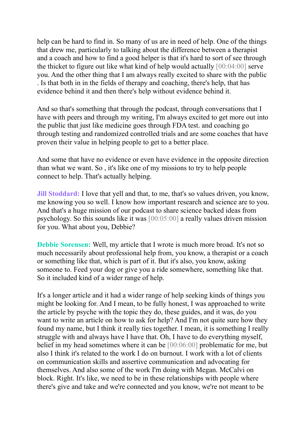help can be hard to find in. So many of us are in need of help. One of the things that drew me, particularly to talking about the difference between a therapist and a coach and how to find a good helper is that it's hard to sort of see through the thicket to figure out like what kind of help would actually [00:04:00] serve you. And the other thing that I am always really excited to share with the public . Is that both in in the fields of therapy and coaching, there's help, that has evidence behind it and then there's help without evidence behind it.

And so that's something that through the podcast, through conversations that I have with peers and through my writing, I'm always excited to get more out into the public that just like medicine goes through FDA test. and coaching go through testing and randomized controlled trials and are some coaches that have proven their value in helping people to get to a better place.

And some that have no evidence or even have evidence in the opposite direction than what we want. So , it's like one of my missions to try to help people connect to help. That's actually helping.

**Jill Stoddard:** I love that yell and that, to me, that's so values driven, you know, me knowing you so well. I know how important research and science are to you. And that's a huge mission of our podcast to share science backed ideas from psychology. So this sounds like it was [00:05:00] a really values driven mission for you. What about you, Debbie?

**Debbie Sorensen:** Well, my article that I wrote is much more broad. It's not so much necessarily about professional help from, you know, a therapist or a coach or something like that, which is part of it. But it's also, you know, asking someone to. Feed your dog or give you a ride somewhere, something like that. So it included kind of a wider range of help.

It's a longer article and it had a wider range of help seeking kinds of things you might be looking for. And I mean, to be fully honest, I was approached to write the article by psyche with the topic they do, these guides, and it was, do you want to write an article on how to ask for help? And I'm not quite sure how they found my name, but I think it really ties together. I mean, it is something I really struggle with and always have I have that. Oh, I have to do everything myself, belief in my head sometimes where it can be [00:06:00] problematic for me, but also I think it's related to the work I do on burnout. I work with a lot of clients on communication skills and assertive communication and advocating for themselves. And also some of the work I'm doing with Megan. McCalvi on block. Right. It's like, we need to be in these relationships with people where there's give and take and we're connected and you know, we're not meant to be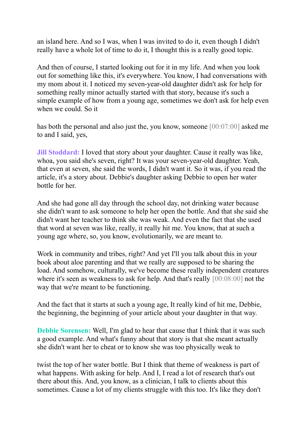an island here. And so I was, when I was invited to do it, even though I didn't really have a whole lot of time to do it, I thought this is a really good topic.

And then of course, I started looking out for it in my life. And when you look out for something like this, it's everywhere. You know, I had conversations with my mom about it. I noticed my seven-year-old daughter didn't ask for help for something really minor actually started with that story, because it's such a simple example of how from a young age, sometimes we don't ask for help even when we could. So it

has both the personal and also just the, you know, someone [00:07:00] asked me to and I said, yes,

**Jill Stoddard:** I loved that story about your daughter. Cause it really was like, whoa, you said she's seven, right? It was your seven-year-old daughter. Yeah, that even at seven, she said the words, I didn't want it. So it was, if you read the article, it's a story about. Debbie's daughter asking Debbie to open her water bottle for her.

And she had gone all day through the school day, not drinking water because she didn't want to ask someone to help her open the bottle. And that she said she didn't want her teacher to think she was weak. And even the fact that she used that word at seven was like, really, it really hit me. You know, that at such a young age where, so, you know, evolutionarily, we are meant to.

Work in community and tribes, right? And yet I'll you talk about this in your book about aloe parenting and that we really are supposed to be sharing the load. And somehow, culturally, we've become these really independent creatures where it's seen as weakness to ask for help. And that's really [00:08:00] not the way that we're meant to be functioning.

And the fact that it starts at such a young age, It really kind of hit me, Debbie, the beginning, the beginning of your article about your daughter in that way.

**Debbie Sorensen:** Well, I'm glad to hear that cause that I think that it was such a good example. And what's funny about that story is that she meant actually she didn't want her to cheat or to know she was too physically weak to

twist the top of her water bottle. But I think that theme of weakness is part of what happens. With asking for help. And I, I read a lot of research that's out there about this. And, you know, as a clinician, I talk to clients about this sometimes. Cause a lot of my clients struggle with this too. It's like they don't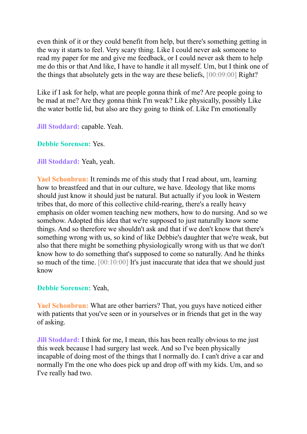even think of it or they could benefit from help, but there's something getting in the way it starts to feel. Very scary thing. Like I could never ask someone to read my paper for me and give me feedback, or I could never ask them to help me do this or that And like, I have to handle it all myself. Um, but I think one of the things that absolutely gets in the way are these beliefs, [00:09:00] Right?

Like if I ask for help, what are people gonna think of me? Are people going to be mad at me? Are they gonna think I'm weak? Like physically, possibly Like the water bottle lid, but also are they going to think of. Like I'm emotionally

**Jill Stoddard:** capable. Yeah.

**Debbie Sorensen:** Yes.

**Jill Stoddard:** Yeah, yeah.

**Yael Schonbrun:** It reminds me of this study that I read about, um, learning how to breastfeed and that in our culture, we have. Ideology that like moms should just know it should just be natural. But actually if you look in Western tribes that, do more of this collective child-rearing, there's a really heavy emphasis on older women teaching new mothers, how to do nursing. And so we somehow. Adopted this idea that we're supposed to just naturally know some things. And so therefore we shouldn't ask and that if we don't know that there's something wrong with us, so kind of like Debbie's daughter that we're weak, but also that there might be something physiologically wrong with us that we don't know how to do something that's supposed to come so naturally. And he thinks so much of the time. [00:10:00] It's just inaccurate that idea that we should just know

## **Debbie Sorensen:** Yeah,

**Yael Schonbrun:** What are other barriers? That, you guys have noticed either with patients that you've seen or in yourselves or in friends that get in the way of asking.

**Jill Stoddard:** I think for me, I mean, this has been really obvious to me just this week because I had surgery last week. And so I've been physically incapable of doing most of the things that I normally do. I can't drive a car and normally I'm the one who does pick up and drop off with my kids. Um, and so I've really had two.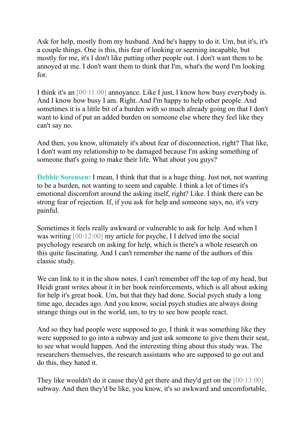Ask for help, mostly from my husband. And he's happy to do it. Um, but it's, it's a couple things. One is this, this fear of looking or seeming incapable, but mostly for me, it's I don't like putting other people out. I don't want them to be annoyed at me. I don't want them to think that I'm, what's the word I'm looking for.

I think it's an [00:11:00] annoyance. Like I just, I know how busy everybody is. And I know how busy I am. Right. And I'm happy to help other people. And sometimes it is a little bit of a burden with so much already going on that I don't want to kind of put an added burden on someone else where they feel like they can't say no.

And then, you know, ultimately it's about fear of disconnection, right? That like, I don't want my relationship to be damaged because I'm asking something of someone that's going to make their life. What about you guys?

**Debbie Sorensen:** I mean, I think that that is a huge thing. Just not, not wanting to be a burden, not wanting to seem and capable. I think a lot of times it's emotional discomfort around the asking itself, right? Like. I think there can be strong fear of rejection. If, if you ask for help and someone says, no, it's very painful.

Sometimes it feels really awkward or vulnerable to ask for help. And when I was writing [00:12:00] my article for psyche, I I delved into the social psychology research on asking for help, which is there's a whole research on this quite fascinating. And I can't remember the name of the authors of this classic study.

We can link to it in the show notes. I can't remember off the top of my head, but Heidi grant writes about it in her book reinforcements, which is all about asking for help it's great book. Um, but that they had done. Social psych study a long time ago, decades ago. And you know, social psych studies are always doing strange things out in the world, um, to try to see how people react.

And so they had people were supposed to go, I think it was something like they were supposed to go into a subway and just ask someone to give them their seat, to see what would happen. And the interesting thing about this study was. The researchers themselves, the research assistants who are supposed to go out and do this, they hated it.

They like wouldn't do it cause they'd get there and they'd get on the [00:13:00] subway. And then they'd be like, you know, it's so awkward and uncomfortable,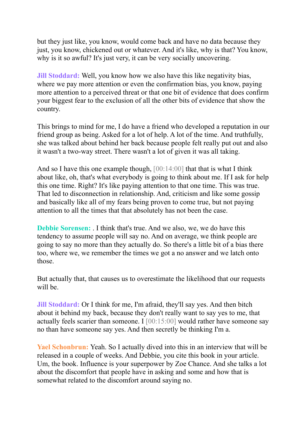but they just like, you know, would come back and have no data because they just, you know, chickened out or whatever. And it's like, why is that? You know, why is it so awful? It's just very, it can be very socially uncovering.

**Jill Stoddard:** Well, you know how we also have this like negativity bias, where we pay more attention or even the confirmation bias, you know, paying more attention to a perceived threat or that one bit of evidence that does confirm your biggest fear to the exclusion of all the other bits of evidence that show the country.

This brings to mind for me, I do have a friend who developed a reputation in our friend group as being. Asked for a lot of help. A lot of the time. And truthfully, she was talked about behind her back because people felt really put out and also it wasn't a two-way street. There wasn't a lot of given it was all taking.

And so I have this one example though,  $[00:14:00]$  that that is what I think about like, oh, that's what everybody is going to think about me. If I ask for help this one time. Right? It's like paying attention to that one time. This was true. That led to disconnection in relationship. And, criticism and like some gossip and basically like all of my fears being proven to come true, but not paying attention to all the times that that absolutely has not been the case.

**Debbie Sorensen:** . I think that's true. And we also, we, we do have this tendency to assume people will say no. And on average, we think people are going to say no more than they actually do. So there's a little bit of a bias there too, where we, we remember the times we got a no answer and we latch onto those.

But actually that, that causes us to overestimate the likelihood that our requests will be

**Jill Stoddard:** Or I think for me, I'm afraid, they'll say yes. And then bitch about it behind my back, because they don't really want to say yes to me, that actually feels scarier than someone. I  $[00:15:00]$  would rather have someone say no than have someone say yes. And then secretly be thinking I'm a.

**Yael Schonbrun:** Yeah. So I actually dived into this in an interview that will be released in a couple of weeks. And Debbie, you cite this book in your article. Um, the book. Influence is your superpower by Zoe Chance. And she talks a lot about the discomfort that people have in asking and some and how that is somewhat related to the discomfort around saying no.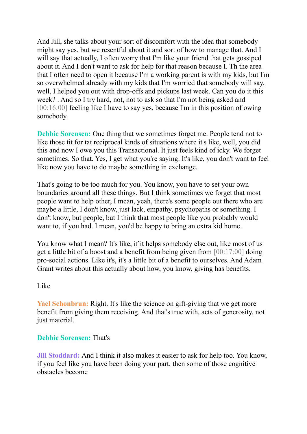And Jill, she talks about your sort of discomfort with the idea that somebody might say yes, but we resentful about it and sort of how to manage that. And I will say that actually, I often worry that I'm like your friend that gets gossiped about it. And I don't want to ask for help for that reason because I. Th the area that I often need to open it because I'm a working parent is with my kids, but I'm so overwhelmed already with my kids that I'm worried that somebody will say, well, I helped you out with drop-offs and pickups last week. Can you do it this week? . And so I try hard, not, not to ask so that I'm not being asked and [00:16:00] feeling like I have to say yes, because I'm in this position of owing somebody.

**Debbie Sorensen:** One thing that we sometimes forget me. People tend not to like those tit for tat reciprocal kinds of situations where it's like, well, you did this and now I owe you this Transactional. It just feels kind of icky. We forget sometimes. So that. Yes, I get what you're saying. It's like, you don't want to feel like now you have to do maybe something in exchange.

That's going to be too much for you. You know, you have to set your own boundaries around all these things. But I think sometimes we forget that most people want to help other, I mean, yeah, there's some people out there who are maybe a little, I don't know, just lack, empathy, psychopaths or something. I don't know, but people, but I think that most people like you probably would want to, if you had. I mean, you'd be happy to bring an extra kid home.

You know what I mean? It's like, if it helps somebody else out, like most of us get a little bit of a boost and a benefit from being given from [00:17:00] doing pro-social actions. Like it's, it's a little bit of a benefit to ourselves. And Adam Grant writes about this actually about how, you know, giving has benefits.

## Like

**Yael Schonbrun:** Right. It's like the science on gift-giving that we get more benefit from giving them receiving. And that's true with, acts of generosity, not just material.

## **Debbie Sorensen:** That's

**Jill Stoddard:** And I think it also makes it easier to ask for help too. You know, if you feel like you have been doing your part, then some of those cognitive obstacles become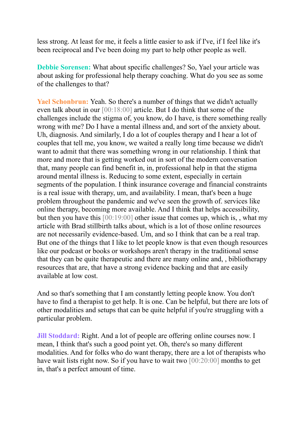less strong. At least for me, it feels a little easier to ask if I've, if I feel like it's been reciprocal and I've been doing my part to help other people as well.

**Debbie Sorensen:** What about specific challenges? So, Yael your article was about asking for professional help therapy coaching. What do you see as some of the challenges to that?

**Yael Schonbrun:** Yeah. So there's a number of things that we didn't actually even talk about in our [00:18:00] article. But I do think that some of the challenges include the stigma of, you know, do I have, is there something really wrong with me? Do I have a mental illness and, and sort of the anxiety about. Uh, diagnosis. And similarly, I do a lot of couples therapy and I hear a lot of couples that tell me, you know, we waited a really long time because we didn't want to admit that there was something wrong in our relationship. I think that more and more that is getting worked out in sort of the modern conversation that, many people can find benefit in, in, professional help in that the stigma around mental illness is. Reducing to some extent, especially in certain segments of the population. I think insurance coverage and financial constraints is a real issue with therapy, um, and availability. I mean, that's been a huge problem throughout the pandemic and we've seen the growth of. services like online therapy, becoming more available. And I think that helps accessibility, but then you have this [00:19:00] other issue that comes up, which is, , what my article with Brad stillbirth talks about, which is a lot of those online resources are not necessarily evidence-based. Um, and so I think that can be a real trap. But one of the things that I like to let people know is that even though resources like our podcast or books or workshops aren't therapy in the traditional sense that they can be quite therapeutic and there are many online and, , bibliotherapy resources that are, that have a strong evidence backing and that are easily available at low cost.

And so that's something that I am constantly letting people know. You don't have to find a therapist to get help. It is one. Can be helpful, but there are lots of other modalities and setups that can be quite helpful if you're struggling with a particular problem.

**Jill Stoddard:** Right. And a lot of people are offering online courses now. I mean, I think that's such a good point yet. Oh, there's so many different modalities. And for folks who do want therapy, there are a lot of therapists who have wait lists right now. So if you have to wait two [00:20:00] months to get in, that's a perfect amount of time.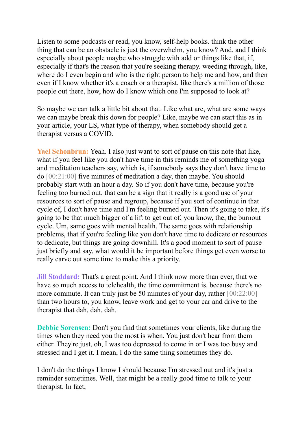Listen to some podcasts or read, you know, self-help books. think the other thing that can be an obstacle is just the overwhelm, you know? And, and I think especially about people maybe who struggle with add or things like that, if, especially if that's the reason that you're seeking therapy. weeding through, like, where do I even begin and who is the right person to help me and how, and then even if I know whether it's a coach or a therapist, like there's a million of those people out there, how, how do I know which one I'm supposed to look at?

So maybe we can talk a little bit about that. Like what are, what are some ways we can maybe break this down for people? Like, maybe we can start this as in your article, your LS, what type of therapy, when somebody should get a therapist versus a COVID.

**Yael Schonbrun:** Yeah. I also just want to sort of pause on this note that like, what if you feel like you don't have time in this reminds me of something yoga and meditation teachers say, which is, if somebody says they don't have time to do [00:21:00] five minutes of meditation a day, then maybe. You should probably start with an hour a day. So if you don't have time, because you're feeling too burned out, that can be a sign that it really is a good use of your resources to sort of pause and regroup, because if you sort of continue in that cycle of, I don't have time and I'm feeling burned out. Then it's going to take, it's going to be that much bigger of a lift to get out of, you know, the, the burnout cycle. Um, same goes with mental health. The same goes with relationship problems, that if you're feeling like you don't have time to dedicate or resources to dedicate, but things are going downhill. It's a good moment to sort of pause just briefly and say, what would it be important before things get even worse to really carve out some time to make this a priority.

**Jill Stoddard:** That's a great point. And I think now more than ever, that we have so much access to telehealth, the time commitment is. because there's no more commute. It can truly just be 50 minutes of your day, rather  $[00:22:00]$ than two hours to, you know, leave work and get to your car and drive to the therapist that dah, dah, dah.

**Debbie Sorensen:** Don't you find that sometimes your clients, like during the times when they need you the most is when. You just don't hear from them either. They're just, oh, I was too depressed to come in or I was too busy and stressed and I get it. I mean, I do the same thing sometimes they do.

I don't do the things I know I should because I'm stressed out and it's just a reminder sometimes. Well, that might be a really good time to talk to your therapist. In fact,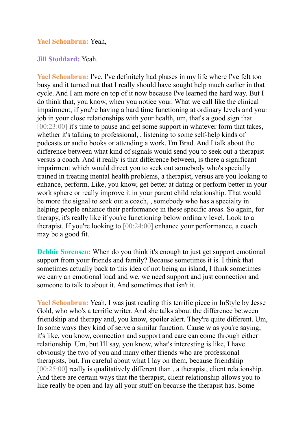#### **Yael Schonbrun:** Yeah,

#### **Jill Stoddard:** Yeah.

**Yael Schonbrun:** I've, I've definitely had phases in my life where I've felt too busy and it turned out that I really should have sought help much earlier in that cycle. And I am more on top of it now because I've learned the hard way. But I do think that, you know, when you notice your. What we call like the clinical impairment, if you're having a hard time functioning at ordinary levels and your job in your close relationships with your health, um, that's a good sign that [00:23:00] it's time to pause and get some support in whatever form that takes, whether it's talking to professional, , listening to some self-help kinds of podcasts or audio books or attending a work. I'm Brad. And I talk about the difference between what kind of signals would send you to seek out a therapist versus a coach. And it really is that difference between, is there a significant impairment which would direct you to seek out somebody who's specially trained in treating mental health problems, a therapist, versus are you looking to enhance, perform. Like, you know, get better at dating or perform better in your work sphere or really improve it in your parent child relationship. That would be more the signal to seek out a coach, , somebody who has a specialty in helping people enhance their performance in these specific areas. So again, for therapy, it's really like if you're functioning below ordinary level, Look to a therapist. If you're looking to [00:24:00] enhance your performance, a coach may be a good fit.

**Debbie Sorensen:** When do you think it's enough to just get support emotional support from your friends and family? Because sometimes it is. I think that sometimes actually back to this idea of not being an island, I think sometimes we carry an emotional load and we, we need support and just connection and someone to talk to about it. And sometimes that isn't it.

**Yael Schonbrun:** Yeah, I was just reading this terrific piece in InStyle by Jesse Gold, who who's a terrific writer. And she talks about the difference between friendship and therapy and, you know, spoiler alert. They're quite different. Um, In some ways they kind of serve a similar function. Cause w as you're saying, it's like, you know, connection and support and care can come through either relationship. Um, but I'll say, you know, what's interesting is like, I have obviously the two of you and many other friends who are professional therapists, but. I'm careful about what I lay on them, because friendship [00:25:00] really is qualitatively different than, a therapist, client relationship. And there are certain ways that the therapist, client relationship allows you to like really be open and lay all your stuff on because the therapist has. Some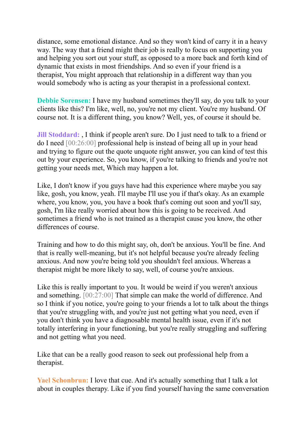distance, some emotional distance. And so they won't kind of carry it in a heavy way. The way that a friend might their job is really to focus on supporting you and helping you sort out your stuff, as opposed to a more back and forth kind of dynamic that exists in most friendships. And so even if your friend is a therapist, You might approach that relationship in a different way than you would somebody who is acting as your therapist in a professional context.

**Debbie Sorensen:** I have my husband sometimes they'll say, do you talk to your clients like this? I'm like, well, no, you're not my client. You're my husband. Of course not. It is a different thing, you know? Well, yes, of course it should be.

**Jill Stoddard:** , I think if people aren't sure. Do I just need to talk to a friend or do I need [00:26:00] professional help is instead of being all up in your head and trying to figure out the quote unquote right answer, you can kind of test this out by your experience. So, you know, if you're talking to friends and you're not getting your needs met, Which may happen a lot.

Like, I don't know if you guys have had this experience where maybe you say like, gosh, you know, yeah. I'll maybe I'll use you if that's okay. As an example where, you know, you, you have a book that's coming out soon and you'll say, gosh, I'm like really worried about how this is going to be received. And sometimes a friend who is not trained as a therapist cause you know, the other differences of course.

Training and how to do this might say, oh, don't be anxious. You'll be fine. And that is really well-meaning, but it's not helpful because you're already feeling anxious. And now you're being told you shouldn't feel anxious. Whereas a therapist might be more likely to say, well, of course you're anxious.

Like this is really important to you. It would be weird if you weren't anxious and something. [00:27:00] That simple can make the world of difference. And so I think if you notice, you're going to your friends a lot to talk about the things that you're struggling with, and you're just not getting what you need, even if you don't think you have a diagnosable mental health issue, even if it's not totally interfering in your functioning, but you're really struggling and suffering and not getting what you need.

Like that can be a really good reason to seek out professional help from a therapist.

**Yael Schonbrun:** I love that cue. And it's actually something that I talk a lot about in couples therapy. Like if you find yourself having the same conversation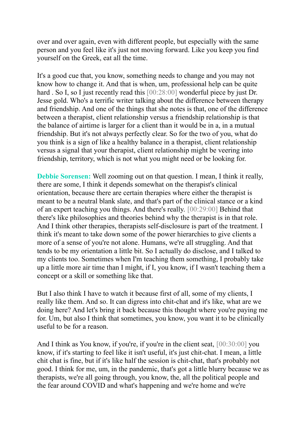over and over again, even with different people, but especially with the same person and you feel like it's just not moving forward. Like you keep you find yourself on the Greek, eat all the time.

It's a good cue that, you know, something needs to change and you may not know how to change it. And that is when, um, professional help can be quite hard . So I, so I just recently read this [00:28:00] wonderful piece by just Dr. Jesse gold. Who's a terrific writer talking about the difference between therapy and friendship. And one of the things that she notes is that, one of the difference between a therapist, client relationship versus a friendship relationship is that the balance of airtime is larger for a client than it would be in a, in a mutual friendship. But it's not always perfectly clear. So for the two of you, what do you think is a sign of like a healthy balance in a therapist, client relationship versus a signal that your therapist, client relationship might be veering into friendship, territory, which is not what you might need or be looking for.

**Debbie Sorensen:** Well zooming out on that question. I mean, I think it really, there are some, I think it depends somewhat on the therapist's clinical orientation, because there are certain therapies where either the therapist is meant to be a neutral blank slate, and that's part of the clinical stance or a kind of an expert teaching you things. And there's really. [00:29:00] Behind that there's like philosophies and theories behind why the therapist is in that role. And I think other therapies, therapists self-disclosure is part of the treatment. I think it's meant to take down some of the power hierarchies to give clients a more of a sense of you're not alone. Humans, we're all struggling. And that tends to be my orientation a little bit. So I actually do disclose, and I talked to my clients too. Sometimes when I'm teaching them something, I probably take up a little more air time than I might, if I, you know, if I wasn't teaching them a concept or a skill or something like that.

But I also think I have to watch it because first of all, some of my clients, I really like them. And so. It can digress into chit-chat and it's like, what are we doing here? And let's bring it back because this thought where you're paying me for. Um, but also I think that sometimes, you know, you want it to be clinically useful to be for a reason.

And I think as You know, if you're, if you're in the client seat,  $[00:30:00]$  you know, if it's starting to feel like it isn't useful, it's just chit-chat. I mean, a little chit chat is fine, but if it's like half the session is chit-chat, that's probably not good. I think for me, um, in the pandemic, that's got a little blurry because we as therapists, we're all going through, you know, the, all the political people and the fear around COVID and what's happening and we're home and we're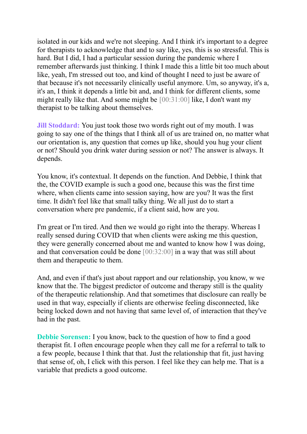isolated in our kids and we're not sleeping. And I think it's important to a degree for therapists to acknowledge that and to say like, yes, this is so stressful. This is hard. But I did, I had a particular session during the pandemic where I remember afterwards just thinking. I think I made this a little bit too much about like, yeah, I'm stressed out too, and kind of thought I need to just be aware of that because it's not necessarily clinically useful anymore. Um, so anyway, it's a, it's an, I think it depends a little bit and, and I think for different clients, some might really like that. And some might be [00:31:00] like, I don't want my therapist to be talking about themselves.

**Jill Stoddard:** You just took those two words right out of my mouth. I was going to say one of the things that I think all of us are trained on, no matter what our orientation is, any question that comes up like, should you hug your client or not? Should you drink water during session or not? The answer is always. It depends.

You know, it's contextual. It depends on the function. And Debbie, I think that the, the COVID example is such a good one, because this was the first time where, when clients came into session saying, how are you? It was the first time. It didn't feel like that small talky thing. We all just do to start a conversation where pre pandemic, if a client said, how are you.

I'm great or I'm tired. And then we would go right into the therapy. Whereas I really sensed during COVID that when clients were asking me this question, they were generally concerned about me and wanted to know how I was doing, and that conversation could be done [00:32:00] in a way that was still about them and therapeutic to them.

And, and even if that's just about rapport and our relationship, you know, w we know that the. The biggest predictor of outcome and therapy still is the quality of the therapeutic relationship. And that sometimes that disclosure can really be used in that way, especially if clients are otherwise feeling disconnected, like being locked down and not having that same level of, of interaction that they've had in the past.

**Debbie Sorensen:** I you know, back to the question of how to find a good therapist fit. I often encourage people when they call me for a referral to talk to a few people, because I think that that. Just the relationship that fit, just having that sense of, oh, I click with this person. I feel like they can help me. That is a variable that predicts a good outcome.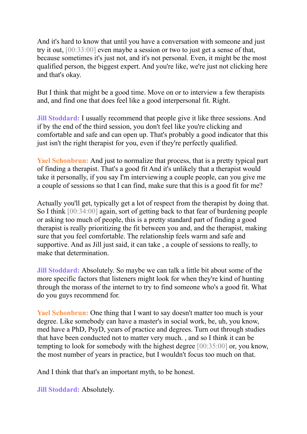And it's hard to know that until you have a conversation with someone and just try it out, [00:33:00] even maybe a session or two to just get a sense of that, because sometimes it's just not, and it's not personal. Even, it might be the most qualified person, the biggest expert. And you're like, we're just not clicking here and that's okay.

But I think that might be a good time. Move on or to interview a few therapists and, and find one that does feel like a good interpersonal fit. Right.

**Jill Stoddard:** I usually recommend that people give it like three sessions. And if by the end of the third session, you don't feel like you're clicking and comfortable and safe and can open up. That's probably a good indicator that this just isn't the right therapist for you, even if they're perfectly qualified.

**Yael Schonbrun:** And just to normalize that process, that is a pretty typical part of finding a therapist. That's a good fit And it's unlikely that a therapist would take it personally, if you say I'm interviewing a couple people, can you give me a couple of sessions so that I can find, make sure that this is a good fit for me?

Actually you'll get, typically get a lot of respect from the therapist by doing that. So I think [00:34:00] again, sort of getting back to that fear of burdening people or asking too much of people, this is a pretty standard part of finding a good therapist is really prioritizing the fit between you and, and the therapist, making sure that you feel comfortable. The relationship feels warm and safe and supportive. And as Jill just said, it can take , a couple of sessions to really, to make that determination.

**Jill Stoddard:** Absolutely. So maybe we can talk a little bit about some of the more specific factors that listeners might look for when they're kind of hunting through the morass of the internet to try to find someone who's a good fit. What do you guys recommend for.

**Yael Schonbrun:** One thing that I want to say doesn't matter too much is your degree. Like somebody can have a master's in social work, be, uh, you know, med have a PhD, PsyD, years of practice and degrees. Turn out through studies that have been conducted not to matter very much. , and so I think it can be tempting to look for somebody with the highest degree [00:35:00] or, you know, the most number of years in practice, but I wouldn't focus too much on that.

And I think that that's an important myth, to be honest.

**Jill Stoddard:** Absolutely.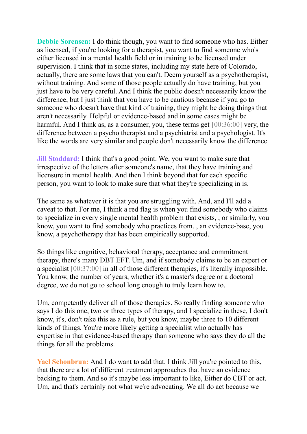**Debbie Sorensen:** I do think though, you want to find someone who has. Either as licensed, if you're looking for a therapist, you want to find someone who's either licensed in a mental health field or in training to be licensed under supervision. I think that in some states, including my state here of Colorado, actually, there are some laws that you can't. Deem yourself as a psychotherapist, without training. And some of those people actually do have training, but you just have to be very careful. And I think the public doesn't necessarily know the difference, but I just think that you have to be cautious because if you go to someone who doesn't have that kind of training, they might be doing things that aren't necessarily. Helpful or evidence-based and in some cases might be harmful. And I think as, as a consumer, you, these terms get [00:36:00] very, the difference between a psycho therapist and a psychiatrist and a psychologist. It's like the words are very similar and people don't necessarily know the difference.

**Jill Stoddard:** I think that's a good point. We, you want to make sure that irrespective of the letters after someone's name, that they have training and licensure in mental health. And then I think beyond that for each specific person, you want to look to make sure that what they're specializing in is.

The same as whatever it is that you are struggling with. And, and I'll add a caveat to that. For me, I think a red flag is when you find somebody who claims to specialize in every single mental health problem that exists, , or similarly, you know, you want to find somebody who practices from. , an evidence-base, you know, a psychotherapy that has been empirically supported.

So things like cognitive, behavioral therapy, acceptance and commitment therapy, there's many DBT EFT. Um, and if somebody claims to be an expert or a specialist [00:37:00] in all of those different therapies, it's literally impossible. You know, the number of years, whether it's a master's degree or a doctoral degree, we do not go to school long enough to truly learn how to.

Um, competently deliver all of those therapies. So really finding someone who says I do this one, two or three types of therapy, and I specialize in these, I don't know, it's, don't take this as a rule, but you know, maybe three to 10 different kinds of things. You're more likely getting a specialist who actually has expertise in that evidence-based therapy than someone who says they do all the things for all the problems.

**Yael Schonbrun:** And I do want to add that. I think Jill you're pointed to this, that there are a lot of different treatment approaches that have an evidence backing to them. And so it's maybe less important to like, Either do CBT or act. Um, and that's certainly not what we're advocating. We all do act because we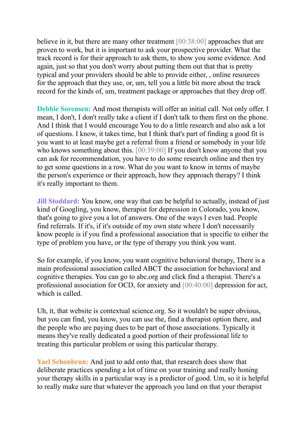believe in it, but there are many other treatment [00:38:00] approaches that are proven to work, but it is important to ask your prospective provider. What the track record is for their approach to ask them, to show you some evidence. And again, just so that you don't worry about putting them out that that is pretty typical and your providers should be able to provide either, , online resources for the approach that they use, or, um, tell you a little bit more about the track record for the kinds of, um, treatment package or approaches that they drop off.

**Debbie Sorensen:** And most therapists will offer an initial call. Not only offer. I mean, I don't, I don't really take a client if I don't talk to them first on the phone. And I think that I would encourage You to do a little research and also ask a lot of questions. I know, it takes time, but I think that's part of finding a good fit is you want to at least maybe get a referral from a friend or somebody in your life who knows something about this. [00:39:00] If you don't know anyone that you can ask for recommendation, you have to do some research online and then try to get some questions in a row. What do you want to know in terms of maybe the person's experience or their approach, how they approach therapy? I think it's really important to them.

**Jill Stoddard:** You know, one way that can be helpful to actually, instead of just kind of Googling, you know, therapist for depression in Colorado, you know, that's going to give you a lot of answers. One of the ways I even had. People find referrals. If it's, if it's outside of my own state where I don't necessarily know people is if you find a professional association that is specific to either the type of problem you have, or the type of therapy you think you want.

So for example, if you know, you want cognitive behavioral therapy, There is a main professional association called ABCT the association for behavioral and cognitive therapies. You can go to abc.org and click find a therapist. There's a professional association for OCD, for anxiety and [00:40:00] depression for act, which is called.

Uh, it, that website is contextual science.org. So it wouldn't be super obvious, but you can find, you know, you can use the, find a therapist option there, and the people who are paying dues to be part of those associations. Typically it means they've really dedicated a good portion of their professional life to treating this particular problem or using this particular therapy.

**Yael Schonbrun:** And just to add onto that, that research does show that deliberate practices spending a lot of time on your training and really honing your therapy skills in a particular way is a predictor of good. Um, so it is helpful to really make sure that whatever the approach you land on that your therapist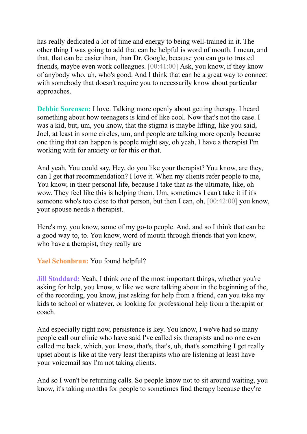has really dedicated a lot of time and energy to being well-trained in it. The other thing I was going to add that can be helpful is word of mouth. I mean, and that, that can be easier than, than Dr. Google, because you can go to trusted friends, maybe even work colleagues. [00:41:00] Ask, you know, if they know of anybody who, uh, who's good. And I think that can be a great way to connect with somebody that doesn't require you to necessarily know about particular approaches.

**Debbie Sorensen:** I love. Talking more openly about getting therapy. I heard something about how teenagers is kind of like cool. Now that's not the case. I was a kid, but, um, you know, that the stigma is maybe lifting, like you said, Joel, at least in some circles, um, and people are talking more openly because one thing that can happen is people might say, oh yeah, I have a therapist I'm working with for anxiety or for this or that.

And yeah. You could say, Hey, do you like your therapist? You know, are they, can I get that recommendation? I love it. When my clients refer people to me, You know, in their personal life, because I take that as the ultimate, like, oh wow. They feel like this is helping them. Um, sometimes I can't take it if it's someone who's too close to that person, but then I can, oh, [00:42:00] you know, your spouse needs a therapist.

Here's my, you know, some of my go-to people. And, and so I think that can be a good way to, to. You know, word of mouth through friends that you know, who have a therapist, they really are

**Yael Schonbrun:** You found helpful?

**Jill Stoddard:** Yeah, I think one of the most important things, whether you're asking for help, you know, w like we were talking about in the beginning of the, of the recording, you know, just asking for help from a friend, can you take my kids to school or whatever, or looking for professional help from a therapist or coach.

And especially right now, persistence is key. You know, I we've had so many people call our clinic who have said I've called six therapists and no one even called me back, which, you know, that's, that's, uh, that's something I get really upset about is like at the very least therapists who are listening at least have your voicemail say I'm not taking clients.

And so I won't be returning calls. So people know not to sit around waiting, you know, it's taking months for people to sometimes find therapy because they're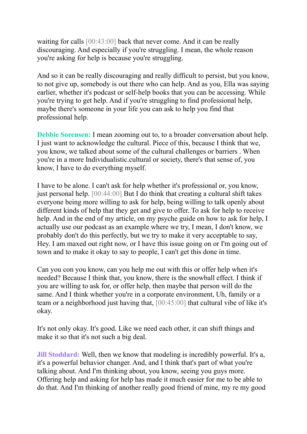waiting for calls [00:43:00] back that never come. And it can be really discouraging. And especially if you're struggling. I mean, the whole reason you're asking for help is because you're struggling.

And so it can be really discouraging and really difficult to persist, but you know, to not give up, somebody is out there who can help. And as you, Ella was saying earlier, whether it's podcast or self-help books that you can be accessing. While you're trying to get help. And if you're struggling to find professional help, maybe there's someone in your life you can ask to help you find that professional help.

**Debbie Sorensen:** I mean zooming out to, to a broader conversation about help. I just want to acknowledge the cultural. Piece of this, because I think that we, you know, we talked about some of the cultural challenges or barriers . When you're in a more Individualistic.cultural or society, there's that sense of, you know, I have to do everything myself.

I have to be alone. I can't ask for help whether it's professional or, you know, just personal help. [00:44:00] But I do think that creating a cultural shift takes everyone being more willing to ask for help, being willing to talk openly about different kinds of help that they get and give to offer. To ask for help to receive help. And in the end of my article, on my psyche guide on how to ask for help, I actually use our podcast as an example where we try, I mean, I don't know, we probably don't do this perfectly, but we try to make it very acceptable to say, Hey. I am maxed out right now, or I have this issue going on or I'm going out of town and to make it okay to say to people, I can't get this done in time.

Can you con you know, can you help me out with this or offer help when it's needed? Because I think that, you know, there is the snowball effect. I think if you are willing to ask for, or offer help, then maybe that person will do the same. And I think whether you're in a corporate environment, Uh, family or a team or a neighborhood just having that, [00:45:00] that cultural vibe of like it's okay.

It's not only okay. It's good. Like we need each other, it can shift things and make it so that it's not such a big deal.

**Jill Stoddard:** Well, then we know that modeling is incredibly powerful. It's a, it's a powerful behavior changer. And, and I think that's part of what you're talking about. And I'm thinking about, you know, seeing you guys more. Offering help and asking for help has made it much easier for me to be able to do that. And I'm thinking of another really good friend of mine, my re my good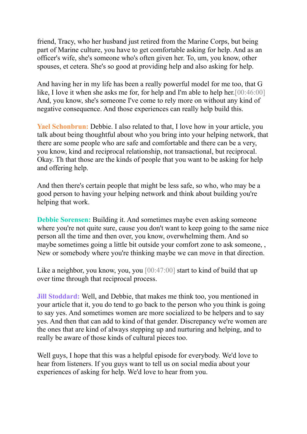friend, Tracy, who her husband just retired from the Marine Corps, but being part of Marine culture, you have to get comfortable asking for help. And as an officer's wife, she's someone who's often given her. To, um, you know, other spouses, et cetera. She's so good at providing help and also asking for help.

And having her in my life has been a really powerful model for me too, that G like, I love it when she asks me for, for help and I'm able to help her.[00:46:00] And, you know, she's someone I've come to rely more on without any kind of negative consequence. And those experiences can really help build this.

**Yael Schonbrun:** Debbie. I also related to that, I love how in your article, you talk about being thoughtful about who you bring into your helping network, that there are some people who are safe and comfortable and there can be a very, you know, kind and reciprocal relationship, not transactional, but reciprocal. Okay. Th that those are the kinds of people that you want to be asking for help and offering help.

And then there's certain people that might be less safe, so who, who may be a good person to having your helping network and think about building you're helping that work.

**Debbie Sorensen:** Building it. And sometimes maybe even asking someone where you're not quite sure, cause you don't want to keep going to the same nice person all the time and then over, you know, overwhelming them. And so maybe sometimes going a little bit outside your comfort zone to ask someone, New or somebody where you're thinking maybe we can move in that direction.

Like a neighbor, you know, you, you [00:47:00] start to kind of build that up over time through that reciprocal process.

**Jill Stoddard:** Well, and Debbie, that makes me think too, you mentioned in your article that it, you do tend to go back to the person who you think is going to say yes. And sometimes women are more socialized to be helpers and to say yes. And then that can add to kind of that gender. Discrepancy we're women are the ones that are kind of always stepping up and nurturing and helping, and to really be aware of those kinds of cultural pieces too.

Well guys, I hope that this was a helpful episode for everybody. We'd love to hear from listeners. If you guys want to tell us on social media about your experiences of asking for help. We'd love to hear from you.